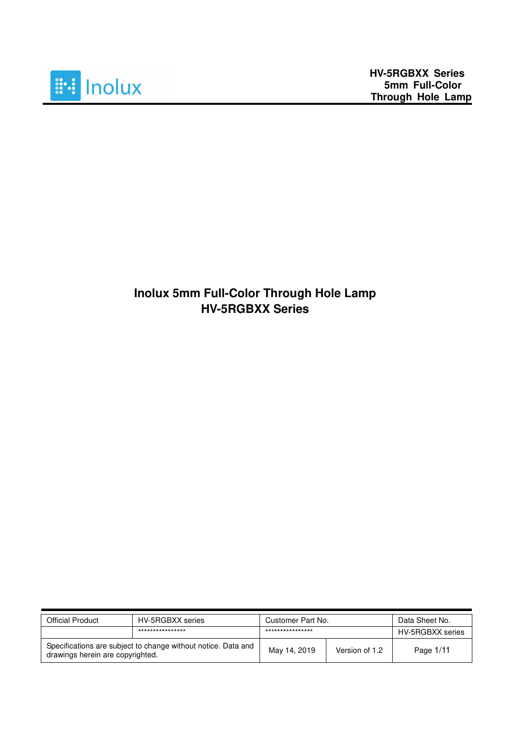

## **Inolux 5mm Full-Color Through Hole Lamp HV-5RGBXX Series**

| <b>Official Product</b>                                                                           | HV-5RGBXX series | Customer Part No. |                | Data Sheet No.   |
|---------------------------------------------------------------------------------------------------|------------------|-------------------|----------------|------------------|
|                                                                                                   | **************** | ****************  |                | HV-5RGBXX series |
| Specifications are subject to change without notice. Data and<br>drawings herein are copyrighted. |                  | May 14, 2019      | Version of 1.2 | Page 1/11        |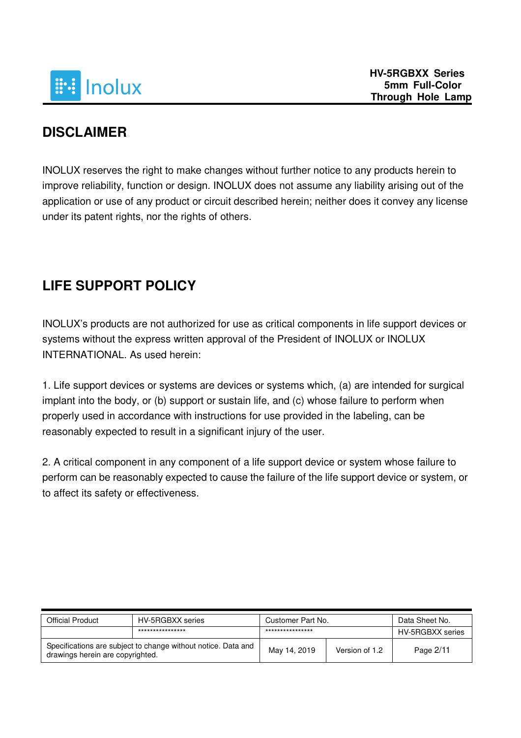

## **DISCLAIMER**

INOLUX reserves the right to make changes without further notice to any products herein to improve reliability, function or design. INOLUX does not assume any liability arising out of the application or use of any product or circuit described herein; neither does it convey any license under its patent rights, nor the rights of others.

## **LIFE SUPPORT POLICY**

INOLUX's products are not authorized for use as critical components in life support devices or systems without the express written approval of the President of INOLUX or INOLUX INTERNATIONAL. As used herein:

1. Life support devices or systems are devices or systems which, (a) are intended for surgical implant into the body, or (b) support or sustain life, and (c) whose failure to perform when properly used in accordance with instructions for use provided in the labeling, can be reasonably expected to result in a significant injury of the user.

2. A critical component in any component of a life support device or system whose failure to perform can be reasonably expected to cause the failure of the life support device or system, or to affect its safety or effectiveness.

| <b>Official Product</b>                                                                           | HV-5RGBXX series | Customer Part No. |                | Data Sheet No.   |
|---------------------------------------------------------------------------------------------------|------------------|-------------------|----------------|------------------|
|                                                                                                   | **************** | ****************  |                | HV-5RGBXX series |
| Specifications are subject to change without notice. Data and<br>drawings herein are copyrighted. |                  | May 14, 2019      | Version of 1.2 | Page 2/11        |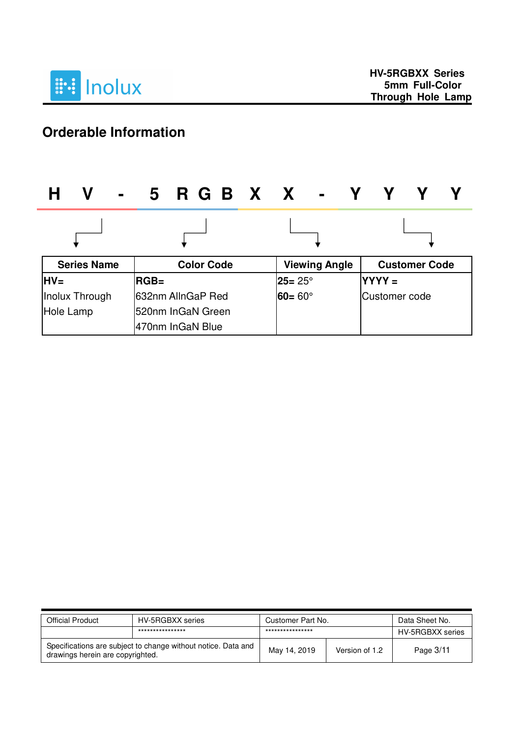

# **Orderable Information**

| V<br>$\blacksquare$ | 5 R G B X X -      |                      |                      |
|---------------------|--------------------|----------------------|----------------------|
|                     |                    |                      |                      |
| <b>Series Name</b>  | <b>Color Code</b>  | <b>Viewing Angle</b> | <b>Customer Code</b> |
| $HV=$               | $RGB =$            | $25 = 25^\circ$      | $YYYY=$              |
| Inolux Through      | l632nm AllnGaP Red | $60 = 60^{\circ}$    | Customer code        |
| Hole Lamp           | 520nm InGaN Green  |                      |                      |
|                     | 470nm InGaN Blue   |                      |                      |

| <b>Official Product</b>                                                                           | HV-5RGBXX series | Customer Part No. |                | Data Sheet No.   |
|---------------------------------------------------------------------------------------------------|------------------|-------------------|----------------|------------------|
|                                                                                                   | **************** | ****************  |                | HV-5RGBXX series |
| Specifications are subject to change without notice. Data and<br>drawings herein are copyrighted. |                  | May 14, 2019      | Version of 1.2 | Page 3/11        |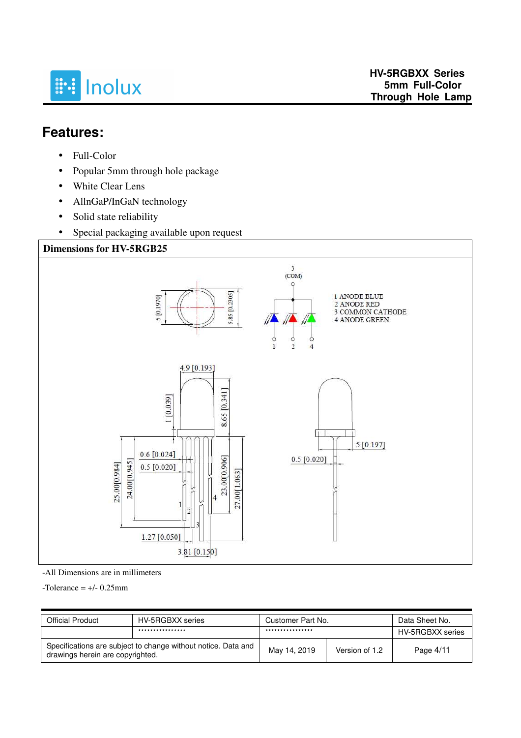

## **Features:**

- Full-Color
- Popular 5mm through hole package
- White Clear Lens
- AllnGaP/InGaN technology
- Solid state reliability
- Special packaging available upon request



-All Dimensions are in millimeters

 $-$ Tolerance =  $+/$ - 0.25mm

| <b>Official Product</b>                                                                           | HV-5RGBXX series | Customer Part No. |                | Data Sheet No.   |
|---------------------------------------------------------------------------------------------------|------------------|-------------------|----------------|------------------|
|                                                                                                   | **************** | ****************  |                | HV-5RGBXX series |
| Specifications are subject to change without notice. Data and<br>drawings herein are copyrighted. |                  | May 14, 2019      | Version of 1.2 | Page $4/11$      |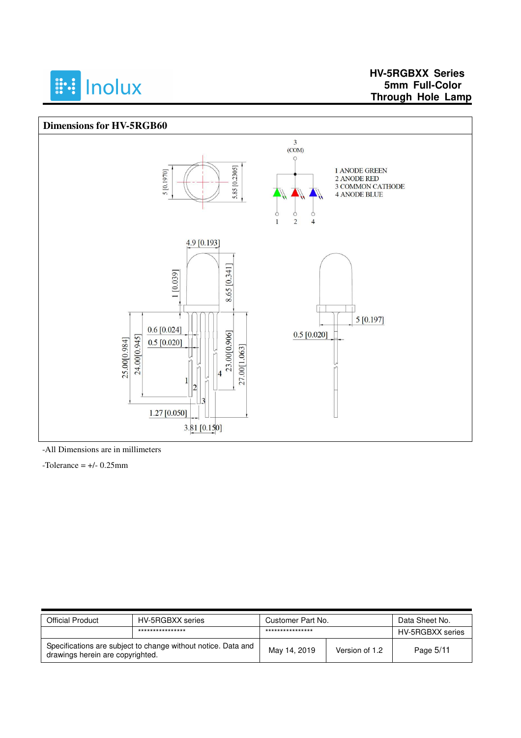

### **HV-5RGBXX Series 5mm Full-Color Through Hole Lamp**

#### **Dimensions for HV-5RGB60**



-All Dimensions are in millimeters

 $-$ Tolerance =  $+/- 0.25$ mm

| Official Product                                                                                  | HV-5RGBXX series | Customer Part No. |                | Data Sheet No.   |
|---------------------------------------------------------------------------------------------------|------------------|-------------------|----------------|------------------|
|                                                                                                   | **************** | ****************  |                | HV-5RGBXX series |
| Specifications are subject to change without notice. Data and<br>drawings herein are copyrighted. |                  | May 14, 2019      | Version of 1.2 | Page 5/11        |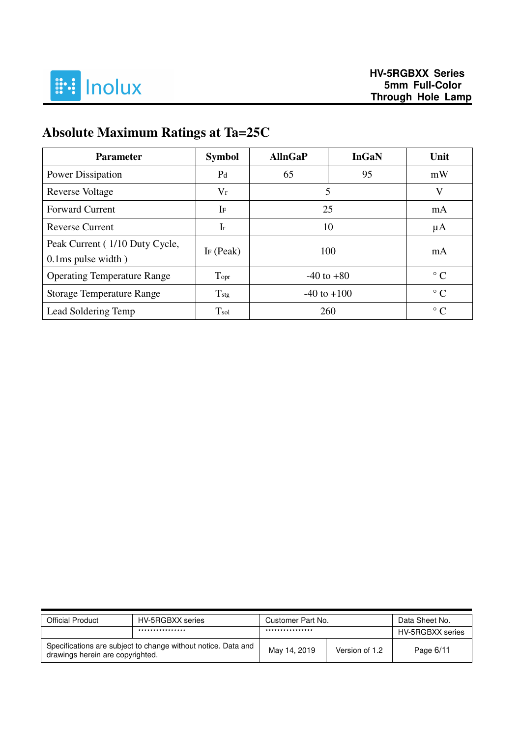

# **Absolute Maximum Ratings at Ta=25C**

| <b>Parameter</b>                                           | <b>Symbol</b>              | <b>AllnGaP</b>  | <b>InGaN</b> | Unit      |
|------------------------------------------------------------|----------------------------|-----------------|--------------|-----------|
| <b>Power Dissipation</b>                                   | P <sub>d</sub>             | 65              | 95           | mW        |
| Reverse Voltage                                            | $V_r$                      | 5               |              | V         |
| <b>Forward Current</b>                                     | IF                         | 25              |              | mA        |
| <b>Reverse Current</b>                                     | $\mathop{\rm Ir}\nolimits$ | 10              |              | μA        |
| Peak Current (1/10 Duty Cycle,<br>$0.1$ ms pulse width $)$ | I $F$ (Peak)               | 100             |              | mA        |
| <b>Operating Temperature Range</b>                         | Topr                       | $-40$ to $+80$  |              | $\circ$ C |
| <b>Storage Temperature Range</b>                           | $T_{\rm{stg}}$             | $-40$ to $+100$ |              | $\circ$ C |
| Lead Soldering Temp                                        | T <sub>sol</sub>           | 260             |              | $\circ$ C |

| <b>Official Product</b>                                                                           | HV-5RGBXX series | Customer Part No. |                | Data Sheet No.   |
|---------------------------------------------------------------------------------------------------|------------------|-------------------|----------------|------------------|
|                                                                                                   | **************** | ****************  |                | HV-5RGBXX series |
| Specifications are subject to change without notice. Data and<br>drawings herein are copyrighted. |                  | May 14, 2019      | Version of 1.2 | Page 6/11        |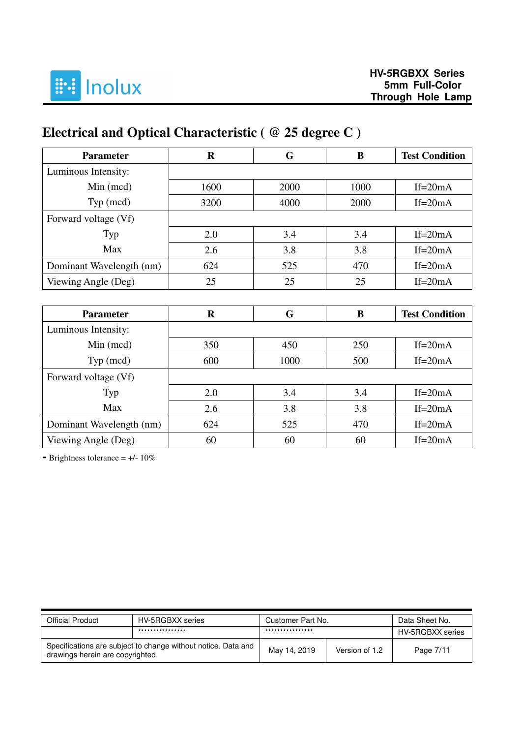

# **Electrical and Optical Characteristic ( @ 25 degree C )**

| <b>Parameter</b>         | R    | G    | B    | <b>Test Condition</b> |
|--------------------------|------|------|------|-----------------------|
| Luminous Intensity:      |      |      |      |                       |
| $Min$ (mcd)              | 1600 | 2000 | 1000 | If= $20mA$            |
| Typ (mcd)                | 3200 | 4000 | 2000 | If= $20mA$            |
| Forward voltage (Vf)     |      |      |      |                       |
| Typ                      | 2.0  | 3.4  | 3.4  | If= $20mA$            |
| Max                      | 2.6  | 3.8  | 3.8  | If= $20mA$            |
| Dominant Wavelength (nm) | 624  | 525  | 470  | If= $20mA$            |
| Viewing Angle (Deg)      | 25   | 25   | 25   | If= $20mA$            |

| <b>Parameter</b>         | $\bf R$ | G    | B   | <b>Test Condition</b> |
|--------------------------|---------|------|-----|-----------------------|
| Luminous Intensity:      |         |      |     |                       |
| $Min$ (mcd)              | 350     | 450  | 250 | If= $20mA$            |
| Typ (mcd)                | 600     | 1000 | 500 | If= $20mA$            |
| Forward voltage (Vf)     |         |      |     |                       |
| Typ                      | 2.0     | 3.4  | 3.4 | If= $20mA$            |
| Max                      | 2.6     | 3.8  | 3.8 | $If=20mA$             |
| Dominant Wavelength (nm) | 624     | 525  | 470 | If= $20mA$            |
| Viewing Angle (Deg)      | 60      | 60   | 60  | $If = 20mA$           |

**-** Brightness tolerance = +/- 10%

| <b>Official Product</b>                                                                           | HV-5RGBXX series | Customer Part No. |                | Data Sheet No.   |
|---------------------------------------------------------------------------------------------------|------------------|-------------------|----------------|------------------|
|                                                                                                   | **************** | ****************  |                | HV-5RGBXX series |
| Specifications are subject to change without notice. Data and<br>drawings herein are copyrighted. |                  | May 14, 2019      | Version of 1.2 | Page 7/11        |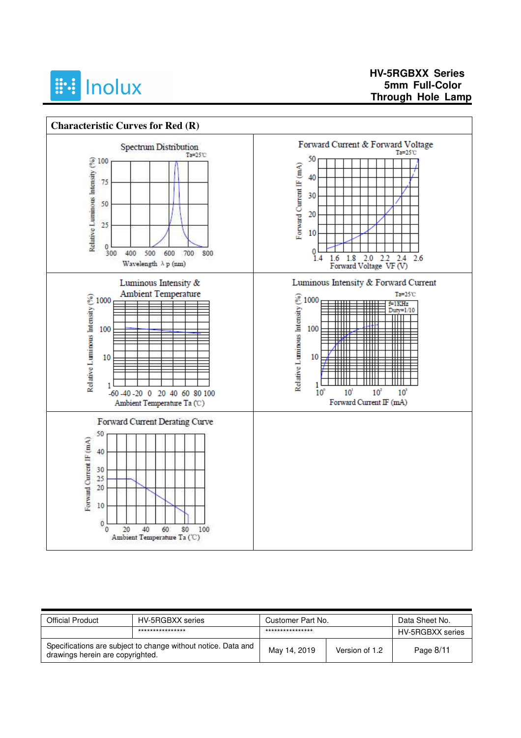



| <b>Official Product</b>                                                                           | HV-5RGBXX series | Customer Part No. |                | Data Sheet No.   |
|---------------------------------------------------------------------------------------------------|------------------|-------------------|----------------|------------------|
|                                                                                                   | **************** | ****************  |                | HV-5RGBXX series |
| Specifications are subject to change without notice. Data and<br>drawings herein are copyrighted. |                  | May 14, 2019      | Version of 1.2 | Page 8/11        |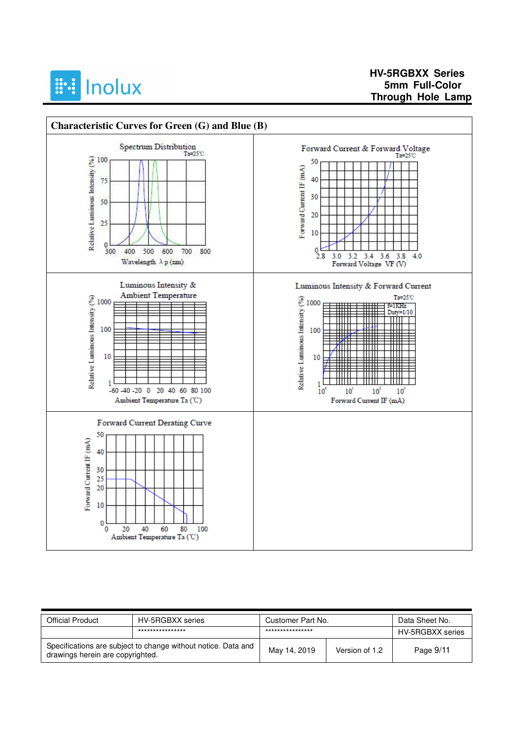

### **HV-5RGBXX Series 5mm Full-Color Through Hole Lamp**



| <b>Official Product</b>                                                                           | HV-5RGBXX series | Customer Part No. |                | Data Sheet No.   |
|---------------------------------------------------------------------------------------------------|------------------|-------------------|----------------|------------------|
|                                                                                                   | **************** | ****************  |                | HV-5RGBXX series |
| Specifications are subject to change without notice. Data and<br>drawings herein are copyrighted. |                  | May 14, 2019      | Version of 1.2 | Page 9/11        |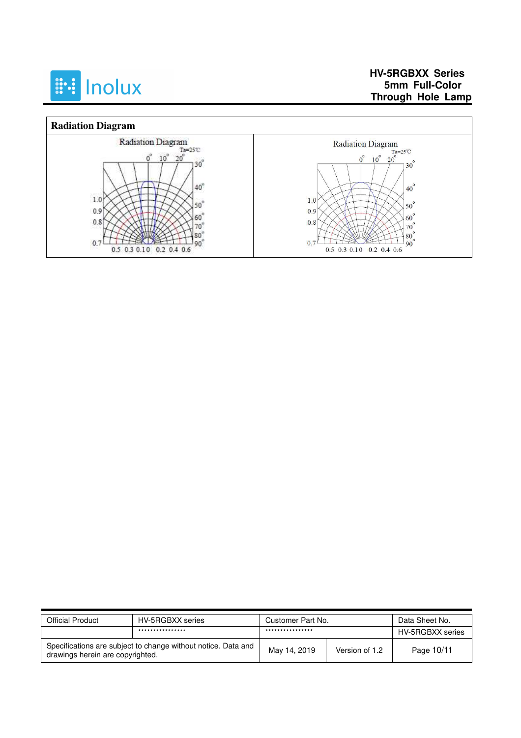

### **HV-5RGBXX Series 5mm Full-Color Through Hole Lamp**



| <b>Official Product</b>                                                                           | HV-5RGBXX series | Customer Part No. |                | Data Sheet No.   |
|---------------------------------------------------------------------------------------------------|------------------|-------------------|----------------|------------------|
|                                                                                                   | **************** | ****************  |                | HV-5RGBXX series |
| Specifications are subject to change without notice. Data and<br>drawings herein are copyrighted. |                  | May 14, 2019      | Version of 1.2 | Page 10/11       |